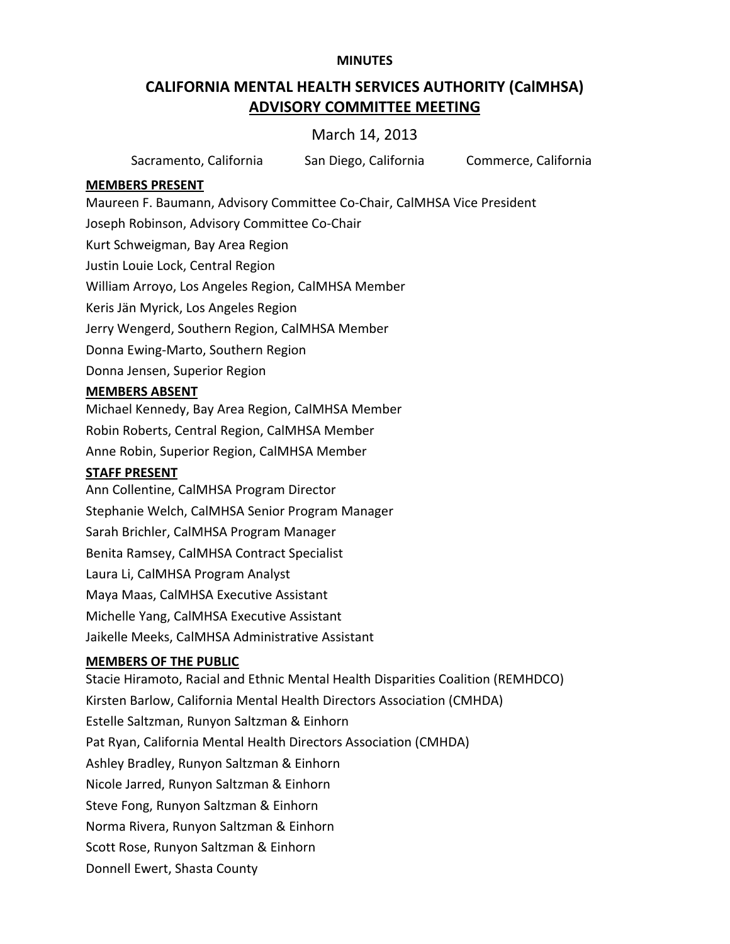#### **MINUTES**

# **CALIFORNIA MENTAL HEALTH SERVICES AUTHORITY (CalMHSA) ADVISORY COMMITTEE MEETING**

# March 14, 2013

| Sacramento, California<br>San Diego, California | Commerce, California |
|-------------------------------------------------|----------------------|
|-------------------------------------------------|----------------------|

#### **MEMBERS PRESENT**

Maureen F. Baumann, Advisory Committee Co‐Chair, CalMHSA Vice President Joseph Robinson, Advisory Committee Co‐Chair Kurt Schweigman, Bay Area Region Justin Louie Lock, Central Region William Arroyo, Los Angeles Region, CalMHSA Member Keris Jän Myrick, Los Angeles Region Jerry Wengerd, Southern Region, CalMHSA Member Donna Ewing‐Marto, Southern Region Donna Jensen, Superior Region **MEMBERS ABSENT**

# Michael Kennedy, Bay Area Region, CalMHSA Member

Robin Roberts, Central Region, CalMHSA Member Anne Robin, Superior Region, CalMHSA Member

## **STAFF PRESENT**

Ann Collentine, CalMHSA Program Director Stephanie Welch, CalMHSA Senior Program Manager Sarah Brichler, CalMHSA Program Manager Benita Ramsey, CalMHSA Contract Specialist Laura Li, CalMHSA Program Analyst Maya Maas, CalMHSA Executive Assistant Michelle Yang, CalMHSA Executive Assistant Jaikelle Meeks, CalMHSA Administrative Assistant

## **MEMBERS OF THE PUBLIC**

Stacie Hiramoto, Racial and Ethnic Mental Health Disparities Coalition (REMHDCO) Kirsten Barlow, California Mental Health Directors Association (CMHDA) Estelle Saltzman, Runyon Saltzman & Einhorn Pat Ryan, California Mental Health Directors Association (CMHDA) Ashley Bradley, Runyon Saltzman & Einhorn Nicole Jarred, Runyon Saltzman & Einhorn Steve Fong, Runyon Saltzman & Einhorn Norma Rivera, Runyon Saltzman & Einhorn Scott Rose, Runyon Saltzman & Einhorn Donnell Ewert, Shasta County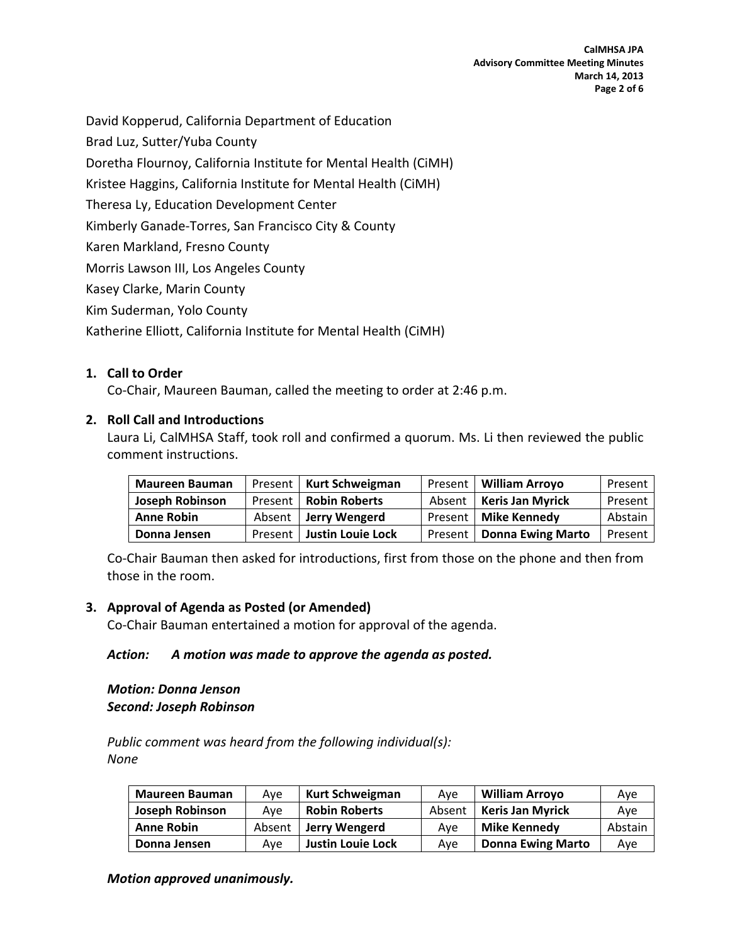David Kopperud, California Department of Education

Brad Luz, Sutter/Yuba County

Doretha Flournoy, California Institute for Mental Health (CiMH)

Kristee Haggins, California Institute for Mental Health (CiMH)

Theresa Ly, Education Development Center

Kimberly Ganade‐Torres, San Francisco City & County

Karen Markland, Fresno County

Morris Lawson III, Los Angeles County

Kasey Clarke, Marin County

Kim Suderman, Yolo County

Katherine Elliott, California Institute for Mental Health (CiMH)

#### **1. Call to Order**

Co‐Chair, Maureen Bauman, called the meeting to order at 2:46 p.m.

#### **2. Roll Call and Introductions**

Laura Li, CalMHSA Staff, took roll and confirmed a quorum. Ms. Li then reviewed the public comment instructions.

| <b>Maureen Bauman</b> | Present   Kurt Schweigman   |         | Present   William Arroyo  | Present |
|-----------------------|-----------------------------|---------|---------------------------|---------|
| Joseph Robinson       | Present   Robin Roberts     |         | Absent   Keris Jan Myrick | Present |
| <b>Anne Robin</b>     | Absent   Jerry Wengerd      |         | Present   Mike Kennedy    | Abstain |
| Donna Jensen          | Present   Justin Louie Lock | Present | Donna Ewing Marto         | Present |

Co‐Chair Bauman then asked for introductions, first from those on the phone and then from those in the room.

#### **3. Approval of Agenda as Posted (or Amended)**

Co‐Chair Bauman entertained a motion for approval of the agenda.

#### *Action: A motion was made to approve the agenda as posted.*

#### *Motion: Donna Jenson Second: Joseph Robinson*

*Public comment was heard from the following individual(s): None*

| <b>Maureen Bauman</b>  | Ave    | Kurt Schweigman          | Ave    | <b>William Arrovo</b>    | Ave     |
|------------------------|--------|--------------------------|--------|--------------------------|---------|
| <b>Joseph Robinson</b> | Ave    | <b>Robin Roberts</b>     | Absent | <b>Keris Jan Myrick</b>  | Ave     |
| <b>Anne Robin</b>      | Absent | Jerry Wengerd            | Ave    | Mike Kennedy             | Abstain |
| Donna Jensen           | Ave    | <b>Justin Louie Lock</b> | Ave    | <b>Donna Ewing Marto</b> | Ave     |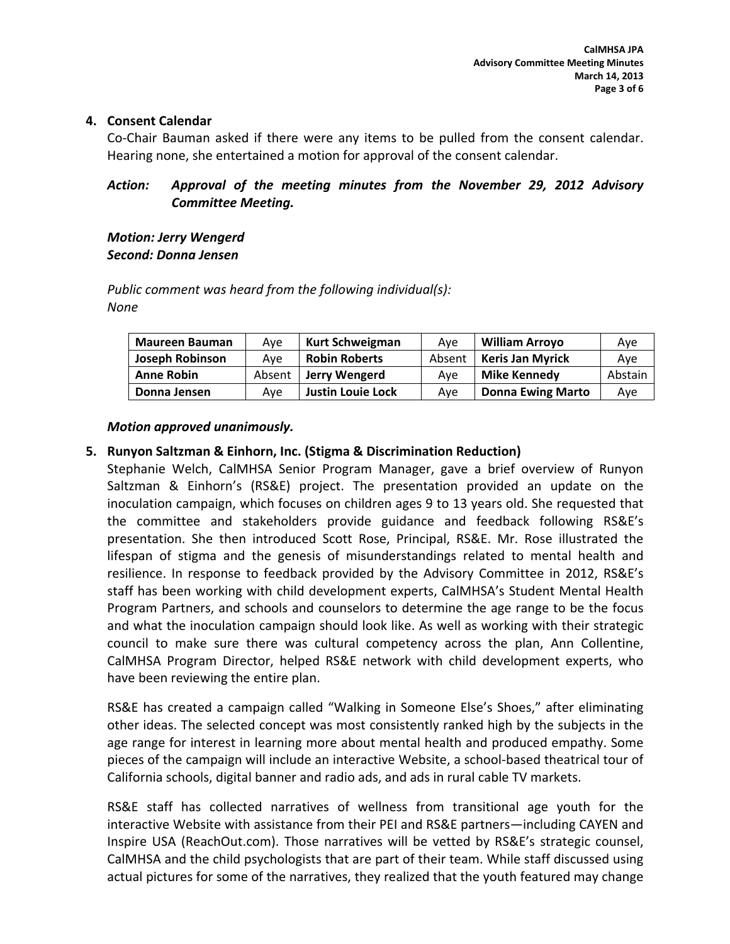#### **4. Consent Calendar**

Co‐Chair Bauman asked if there were any items to be pulled from the consent calendar. Hearing none, she entertained a motion for approval of the consent calendar.

## *Action: Approval of the meeting minutes from the November 29, 2012 Advisory Committee Meeting.*

#### *Motion: Jerry Wengerd Second: Donna Jensen*

*Public comment was heard from the following individual(s): None*

| <b>Maureen Bauman</b> | Ave    | <b>Kurt Schweigman</b>   | Ave    | <b>William Arrovo</b>    | Ave     |
|-----------------------|--------|--------------------------|--------|--------------------------|---------|
| Joseph Robinson       | Ave    | <b>Robin Roberts</b>     | Absent | <b>Keris Jan Myrick</b>  | Ave     |
| <b>Anne Robin</b>     | Absent | Jerry Wengerd            | Ave    | Mike Kennedy             | Abstain |
| Donna Jensen          | Ave    | <b>Justin Louie Lock</b> | Ave    | <b>Donna Ewing Marto</b> | Ave     |

## *Motion approved unanimously.*

## **5. Runyon Saltzman & Einhorn, Inc. (Stigma & Discrimination Reduction)**

Stephanie Welch, CalMHSA Senior Program Manager, gave a brief overview of Runyon Saltzman & Einhorn's (RS&E) project. The presentation provided an update on the inoculation campaign, which focuses on children ages 9 to 13 years old. She requested that the committee and stakeholders provide guidance and feedback following RS&E's presentation. She then introduced Scott Rose, Principal, RS&E. Mr. Rose illustrated the lifespan of stigma and the genesis of misunderstandings related to mental health and resilience. In response to feedback provided by the Advisory Committee in 2012, RS&E's staff has been working with child development experts, CalMHSA's Student Mental Health Program Partners, and schools and counselors to determine the age range to be the focus and what the inoculation campaign should look like. As well as working with their strategic council to make sure there was cultural competency across the plan, Ann Collentine, CalMHSA Program Director, helped RS&E network with child development experts, who have been reviewing the entire plan.

RS&E has created a campaign called "Walking in Someone Else's Shoes," after eliminating other ideas. The selected concept was most consistently ranked high by the subjects in the age range for interest in learning more about mental health and produced empathy. Some pieces of the campaign will include an interactive Website, a school-based theatrical tour of California schools, digital banner and radio ads, and ads in rural cable TV markets.

RS&E staff has collected narratives of wellness from transitional age youth for the interactive Website with assistance from their PEI and RS&E partners—including CAYEN and Inspire USA (ReachOut.com). Those narratives will be vetted by RS&E's strategic counsel, CalMHSA and the child psychologists that are part of their team. While staff discussed using actual pictures for some of the narratives, they realized that the youth featured may change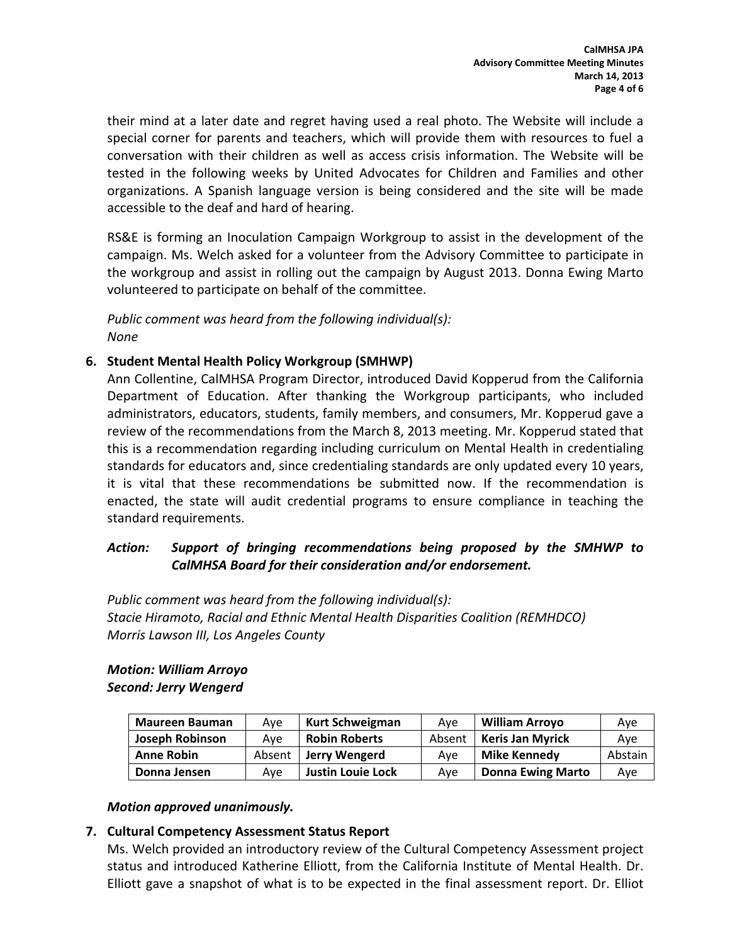their mind at a later date and regret having used a real photo. The Website will include a special corner for parents and teachers, which will provide them with resources to fuel a conversation with their children as well as access crisis information. The Website will be tested in the following weeks by United Advocates for Children and Families and other organizations. A Spanish language version is being considered and the site will be made accessible to the deaf and hard of hearing.

RS&E is forming an Inoculation Campaign Workgroup to assist in the development of the campaign. Ms. Welch asked for a volunteer from the Advisory Committee to participate in the workgroup and assist in rolling out the campaign by August 2013. Donna Ewing Marto volunteered to participate on behalf of the committee.

*Public comment was heard from the following individual(s): None*

## **6. Student Mental Health Policy Workgroup (SMHWP)**

Ann Collentine, CalMHSA Program Director, introduced David Kopperud from the California Department of Education. After thanking the Workgroup participants, who included administrators, educators, students, family members, and consumers, Mr. Kopperud gave a review of the recommendations from the March 8, 2013 meeting. Mr. Kopperud stated that this is a recommendation regarding including curriculum on Mental Health in credentialing standards for educators and, since credentialing standards are only updated every 10 years, it is vital that these recommendations be submitted now. If the recommendation is enacted, the state will audit credential programs to ensure compliance in teaching the standard requirements.

## *Action: Support of bringing recommendations being proposed by the SMHWP to CalMHSA Board for their consideration and/or endorsement.*

*Public comment was heard from the following individual(s): Stacie Hiramoto, Racial and Ethnic Mental Health Disparities Coalition (REMHDCO) Morris Lawson III, Los Angeles County*

#### *Motion: William Arroyo Second: Jerry Wengerd*

| <b>Maureen Bauman</b>  | Ave    | Kurt Schweigman          | Ave    | <b>William Arroyo</b>    | Ave     |
|------------------------|--------|--------------------------|--------|--------------------------|---------|
| <b>Joseph Robinson</b> | Ave    | <b>Robin Roberts</b>     | Absent | <b>Keris Jan Myrick</b>  | Ave     |
| <b>Anne Robin</b>      | Absent | Jerry Wengerd            | Ave    | Mike Kennedy             | Abstain |
| Donna Jensen           | Ave    | <b>Justin Louie Lock</b> | Ave    | <b>Donna Ewing Marto</b> | Ave     |

## *Motion approved unanimously.*

## **7. Cultural Competency Assessment Status Report**

Ms. Welch provided an introductory review of the Cultural Competency Assessment project status and introduced Katherine Elliott, from the California Institute of Mental Health. Dr. Elliott gave a snapshot of what is to be expected in the final assessment report. Dr. Elliot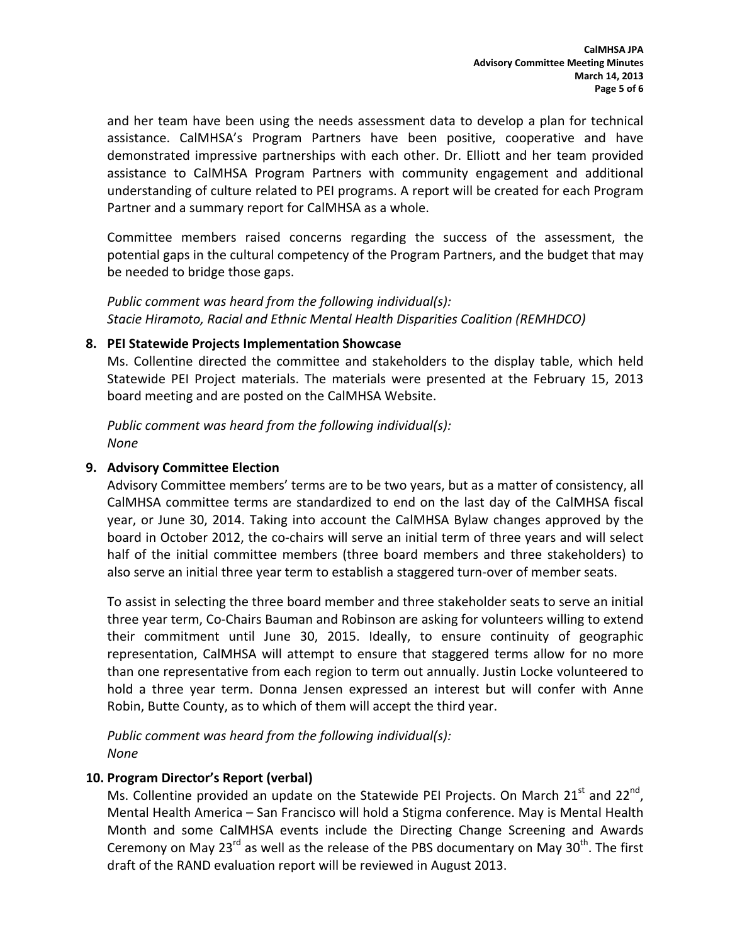and her team have been using the needs assessment data to develop a plan for technical assistance. CalMHSA's Program Partners have been positive, cooperative and have demonstrated impressive partnerships with each other. Dr. Elliott and her team provided assistance to CalMHSA Program Partners with community engagement and additional understanding of culture related to PEI programs. A report will be created for each Program Partner and a summary report for CalMHSA as a whole.

Committee members raised concerns regarding the success of the assessment, the potential gaps in the cultural competency of the Program Partners, and the budget that may be needed to bridge those gaps.

*Public comment was heard from the following individual(s): Stacie Hiramoto, Racial and Ethnic Mental Health Disparities Coalition (REMHDCO)*

#### **8. PEI Statewide Projects Implementation Showcase**

Ms. Collentine directed the committee and stakeholders to the display table, which held Statewide PEI Project materials. The materials were presented at the February 15, 2013 board meeting and are posted on the CalMHSA Website.

*Public comment was heard from the following individual(s): None*

## **9. Advisory Committee Election**

Advisory Committee members' terms are to be two years, but as a matter of consistency, all CalMHSA committee terms are standardized to end on the last day of the CalMHSA fiscal year, or June 30, 2014. Taking into account the CalMHSA Bylaw changes approved by the board in October 2012, the co‐chairs will serve an initial term of three years and will select half of the initial committee members (three board members and three stakeholders) to also serve an initial three year term to establish a staggered turn-over of member seats.

To assist in selecting the three board member and three stakeholder seats to serve an initial three year term, Co‐Chairs Bauman and Robinson are asking for volunteers willing to extend their commitment until June 30, 2015. Ideally, to ensure continuity of geographic representation, CalMHSA will attempt to ensure that staggered terms allow for no more than one representative from each region to term out annually. Justin Locke volunteered to hold a three year term. Donna Jensen expressed an interest but will confer with Anne Robin, Butte County, as to which of them will accept the third year.

*Public comment was heard from the following individual(s): None*

## **10. Program Director's Report (verbal)**

Ms. Collentine provided an update on the Statewide PEI Projects. On March  $21<sup>st</sup>$  and  $22<sup>nd</sup>$ , Mental Health America – San Francisco will hold a Stigma conference. May is Mental Health Month and some CalMHSA events include the Directing Change Screening and Awards Ceremony on May 23 $^{rd}$  as well as the release of the PBS documentary on May 30 $^{th}$ . The first draft of the RAND evaluation report will be reviewed in August 2013.